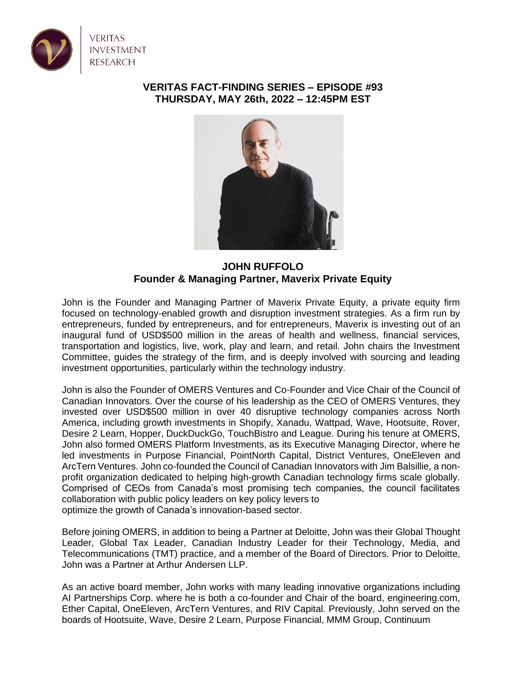

## **VERITAS FACT-FINDING SERIES – EPISODE #93 THURSDAY, MAY 26th, 2022 – 12:45PM EST**



**JOHN RUFFOLO Founder & Managing Partner, Maverix Private Equity**

John is the Founder and Managing Partner of Maverix Private Equity, a private equity firm focused on technology-enabled growth and disruption investment strategies. As a firm run by entrepreneurs, funded by entrepreneurs, and for entrepreneurs, Maverix is investing out of an inaugural fund of USD\$500 million in the areas of health and wellness, financial services, transportation and logistics, live, work, play and learn, and retail. John chairs the Investment Committee, guides the strategy of the firm, and is deeply involved with sourcing and leading investment opportunities, particularly within the technology industry.

John is also the Founder of OMERS Ventures and Co-Founder and Vice Chair of the Council of Canadian Innovators. Over the course of his leadership as the CEO of OMERS Ventures, they invested over USD\$500 million in over 40 disruptive technology companies across North America, including growth investments in Shopify, Xanadu, Wattpad, Wave, Hootsuite, Rover, Desire 2 Learn, Hopper, DuckDuckGo, TouchBistro and League. During his tenure at OMERS, John also formed OMERS Platform Investments, as its Executive Managing Director, where he led investments in Purpose Financial, PointNorth Capital, District Ventures, OneEleven and ArcTern Ventures. John co-founded the Council of Canadian Innovators with Jim Balsillie, a nonprofit organization dedicated to helping high-growth Canadian technology firms scale globally. Comprised of CEOs from Canada's most promising tech companies, the council facilitates collaboration with public policy leaders on key policy levers to optimize the growth of Canada's innovation-based sector.

Before joining OMERS, in addition to being a Partner at Deloitte, John was their Global Thought Leader, Global Tax Leader, Canadian Industry Leader for their Technology, Media, and Telecommunications (TMT) practice, and a member of the Board of Directors. Prior to Deloitte, John was a Partner at Arthur Andersen LLP.

As an active board member, John works with many leading innovative organizations including AI Partnerships Corp. where he is both a co-founder and Chair of the board, engineering.com, Ether Capital, OneEleven, ArcTern Ventures, and RIV Capital. Previously, John served on the boards of Hootsuite, Wave, Desire 2 Learn, Purpose Financial, MMM Group, Continuum